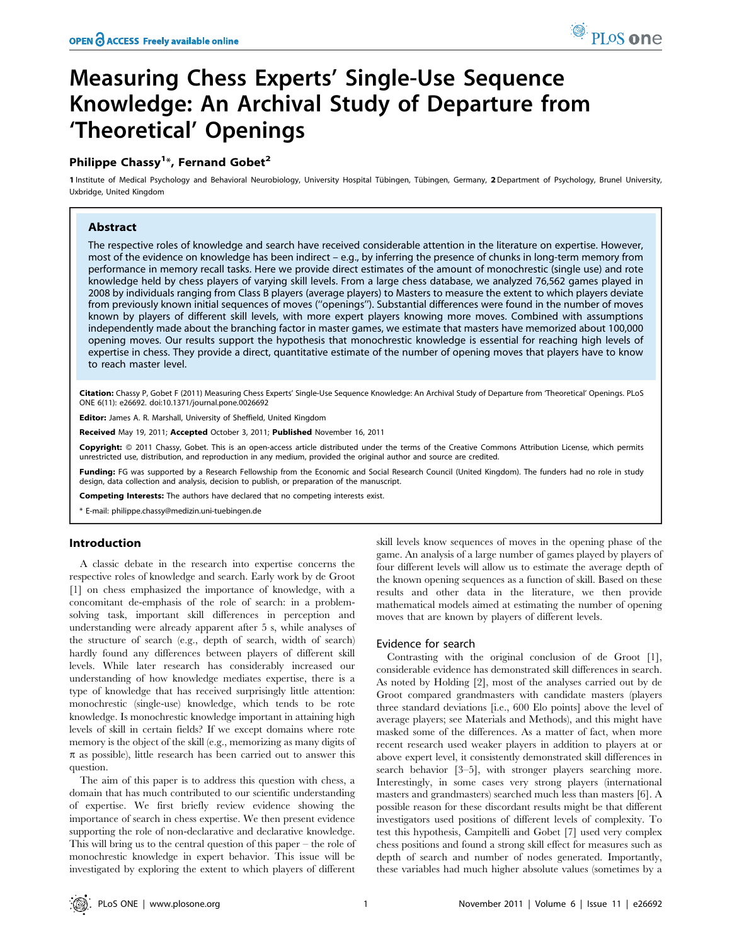# Measuring Chess Experts' Single-Use Sequence Knowledge: An Archival Study of Departure from 'Theoretical' Openings

## Philippe Chassy<sup>1\*</sup>, Fernand Gobet<sup>2</sup>

1 Institute of Medical Psychology and Behavioral Neurobiology, University Hospital Tübingen, Tübingen, Germany, 2 Department of Psychology, Brunel University, Uxbridge, United Kingdom

## Abstract

The respective roles of knowledge and search have received considerable attention in the literature on expertise. However, most of the evidence on knowledge has been indirect – e.g., by inferring the presence of chunks in long-term memory from performance in memory recall tasks. Here we provide direct estimates of the amount of monochrestic (single use) and rote knowledge held by chess players of varying skill levels. From a large chess database, we analyzed 76,562 games played in 2008 by individuals ranging from Class B players (average players) to Masters to measure the extent to which players deviate from previously known initial sequences of moves (''openings''). Substantial differences were found in the number of moves known by players of different skill levels, with more expert players knowing more moves. Combined with assumptions independently made about the branching factor in master games, we estimate that masters have memorized about 100,000 opening moves. Our results support the hypothesis that monochrestic knowledge is essential for reaching high levels of expertise in chess. They provide a direct, quantitative estimate of the number of opening moves that players have to know to reach master level.

Citation: Chassy P, Gobet F (2011) Measuring Chess Experts' Single-Use Sequence Knowledge: An Archival Study of Departure from 'Theoretical' Openings. PLoS ONE 6(11): e26692. doi:10.1371/journal.pone.0026692

Editor: James A. R. Marshall, University of Sheffield, United Kingdom

Received May 19, 2011; Accepted October 3, 2011; Published November 16, 2011

Copyright: © 2011 Chassy, Gobet. This is an open-access article distributed under the terms of the Creative Commons Attribution License, which permits unrestricted use, distribution, and reproduction in any medium, provided the original author and source are credited.

Funding: FG was supported by a Research Fellowship from the Economic and Social Research Council (United Kingdom). The funders had no role in study design, data collection and analysis, decision to publish, or preparation of the manuscript.

Competing Interests: The authors have declared that no competing interests exist.

\* E-mail: philippe.chassy@medizin.uni-tuebingen.de

## Introduction

A classic debate in the research into expertise concerns the respective roles of knowledge and search. Early work by de Groot [1] on chess emphasized the importance of knowledge, with a concomitant de-emphasis of the role of search: in a problemsolving task, important skill differences in perception and understanding were already apparent after 5 s, while analyses of the structure of search (e.g., depth of search, width of search) hardly found any differences between players of different skill levels. While later research has considerably increased our understanding of how knowledge mediates expertise, there is a type of knowledge that has received surprisingly little attention: monochrestic (single-use) knowledge, which tends to be rote knowledge. Is monochrestic knowledge important in attaining high levels of skill in certain fields? If we except domains where rote memory is the object of the skill (e.g., memorizing as many digits of  $\pi$  as possible), little research has been carried out to answer this question.

The aim of this paper is to address this question with chess, a domain that has much contributed to our scientific understanding of expertise. We first briefly review evidence showing the importance of search in chess expertise. We then present evidence supporting the role of non-declarative and declarative knowledge. This will bring us to the central question of this paper – the role of monochrestic knowledge in expert behavior. This issue will be investigated by exploring the extent to which players of different

skill levels know sequences of moves in the opening phase of the game. An analysis of a large number of games played by players of four different levels will allow us to estimate the average depth of the known opening sequences as a function of skill. Based on these results and other data in the literature, we then provide mathematical models aimed at estimating the number of opening moves that are known by players of different levels.

## Evidence for search

Contrasting with the original conclusion of de Groot [1], considerable evidence has demonstrated skill differences in search. As noted by Holding [2], most of the analyses carried out by de Groot compared grandmasters with candidate masters (players three standard deviations [i.e., 600 Elo points] above the level of average players; see Materials and Methods), and this might have masked some of the differences. As a matter of fact, when more recent research used weaker players in addition to players at or above expert level, it consistently demonstrated skill differences in search behavior [3–5], with stronger players searching more. Interestingly, in some cases very strong players (international masters and grandmasters) searched much less than masters [6]. A possible reason for these discordant results might be that different investigators used positions of different levels of complexity. To test this hypothesis, Campitelli and Gobet [7] used very complex chess positions and found a strong skill effect for measures such as depth of search and number of nodes generated. Importantly, these variables had much higher absolute values (sometimes by a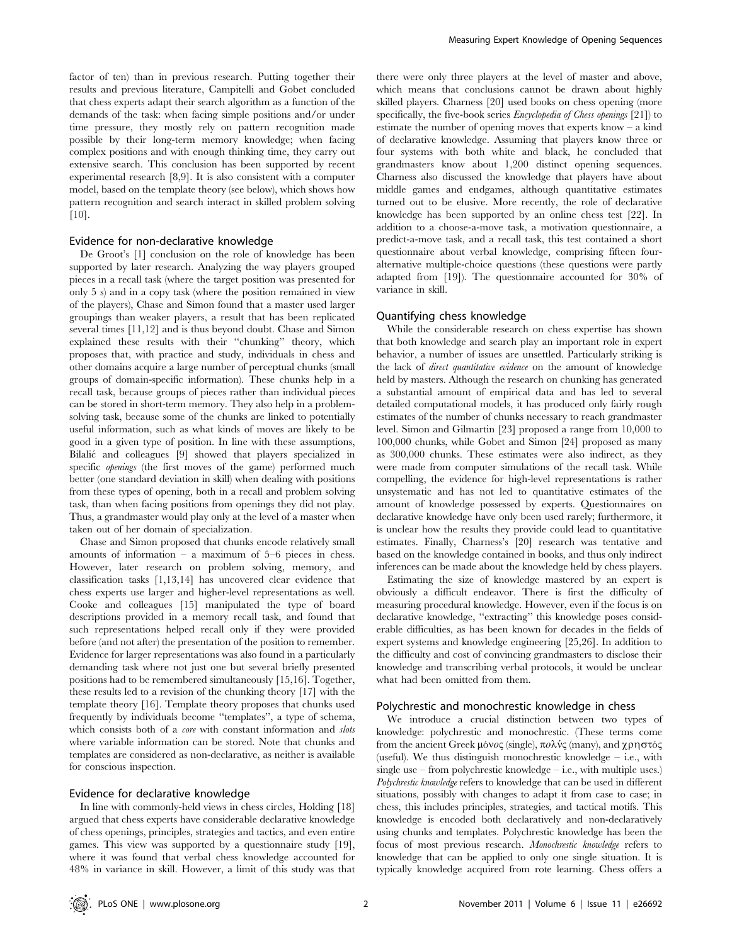factor of ten) than in previous research. Putting together their results and previous literature, Campitelli and Gobet concluded that chess experts adapt their search algorithm as a function of the demands of the task: when facing simple positions and/or under time pressure, they mostly rely on pattern recognition made possible by their long-term memory knowledge; when facing complex positions and with enough thinking time, they carry out extensive search. This conclusion has been supported by recent experimental research [8,9]. It is also consistent with a computer model, based on the template theory (see below), which shows how pattern recognition and search interact in skilled problem solving [10].

#### Evidence for non-declarative knowledge

De Groot's [1] conclusion on the role of knowledge has been supported by later research. Analyzing the way players grouped pieces in a recall task (where the target position was presented for only 5 s) and in a copy task (where the position remained in view of the players), Chase and Simon found that a master used larger groupings than weaker players, a result that has been replicated several times [11,12] and is thus beyond doubt. Chase and Simon explained these results with their ''chunking'' theory, which proposes that, with practice and study, individuals in chess and other domains acquire a large number of perceptual chunks (small groups of domain-specific information). These chunks help in a recall task, because groups of pieces rather than individual pieces can be stored in short-term memory. They also help in a problemsolving task, because some of the chunks are linked to potentially useful information, such as what kinds of moves are likely to be good in a given type of position. In line with these assumptions, Bilalic and colleagues [9] showed that players specialized in specific openings (the first moves of the game) performed much better (one standard deviation in skill) when dealing with positions from these types of opening, both in a recall and problem solving task, than when facing positions from openings they did not play. Thus, a grandmaster would play only at the level of a master when taken out of her domain of specialization.

Chase and Simon proposed that chunks encode relatively small amounts of information – a maximum of  $5-6$  pieces in chess. However, later research on problem solving, memory, and classification tasks [1,13,14] has uncovered clear evidence that chess experts use larger and higher-level representations as well. Cooke and colleagues [15] manipulated the type of board descriptions provided in a memory recall task, and found that such representations helped recall only if they were provided before (and not after) the presentation of the position to remember. Evidence for larger representations was also found in a particularly demanding task where not just one but several briefly presented positions had to be remembered simultaneously [15,16]. Together, these results led to a revision of the chunking theory [17] with the template theory [16]. Template theory proposes that chunks used frequently by individuals become ''templates'', a type of schema, which consists both of a *core* with constant information and *slots* where variable information can be stored. Note that chunks and templates are considered as non-declarative, as neither is available for conscious inspection.

## Evidence for declarative knowledge

In line with commonly-held views in chess circles, Holding [18] argued that chess experts have considerable declarative knowledge of chess openings, principles, strategies and tactics, and even entire games. This view was supported by a questionnaire study [19], where it was found that verbal chess knowledge accounted for 48% in variance in skill. However, a limit of this study was that

there were only three players at the level of master and above, which means that conclusions cannot be drawn about highly skilled players. Charness [20] used books on chess opening (more specifically, the five-book series *Encyclopedia of Chess openings* [21]) to estimate the number of opening moves that experts know  $-$  a kind of declarative knowledge. Assuming that players know three or four systems with both white and black, he concluded that grandmasters know about 1,200 distinct opening sequences. Charness also discussed the knowledge that players have about middle games and endgames, although quantitative estimates turned out to be elusive. More recently, the role of declarative knowledge has been supported by an online chess test [22]. In addition to a choose-a-move task, a motivation questionnaire, a predict-a-move task, and a recall task, this test contained a short questionnaire about verbal knowledge, comprising fifteen fouralternative multiple-choice questions (these questions were partly adapted from [19]). The questionnaire accounted for 30% of variance in skill.

## Quantifying chess knowledge

While the considerable research on chess expertise has shown that both knowledge and search play an important role in expert behavior, a number of issues are unsettled. Particularly striking is the lack of direct quantitative evidence on the amount of knowledge held by masters. Although the research on chunking has generated a substantial amount of empirical data and has led to several detailed computational models, it has produced only fairly rough estimates of the number of chunks necessary to reach grandmaster level. Simon and Gilmartin [23] proposed a range from 10,000 to 100,000 chunks, while Gobet and Simon [24] proposed as many as 300,000 chunks. These estimates were also indirect, as they were made from computer simulations of the recall task. While compelling, the evidence for high-level representations is rather unsystematic and has not led to quantitative estimates of the amount of knowledge possessed by experts. Questionnaires on declarative knowledge have only been used rarely; furthermore, it is unclear how the results they provide could lead to quantitative estimates. Finally, Charness's [20] research was tentative and based on the knowledge contained in books, and thus only indirect inferences can be made about the knowledge held by chess players.

Estimating the size of knowledge mastered by an expert is obviously a difficult endeavor. There is first the difficulty of measuring procedural knowledge. However, even if the focus is on declarative knowledge, ''extracting'' this knowledge poses considerable difficulties, as has been known for decades in the fields of expert systems and knowledge engineering [25,26]. In addition to the difficulty and cost of convincing grandmasters to disclose their knowledge and transcribing verbal protocols, it would be unclear what had been omitted from them.

#### Polychrestic and monochrestic knowledge in chess

We introduce a crucial distinction between two types of knowledge: polychrestic and monochrestic. (These terms come from the ancient Greek  $\mu \omega \in \mathcal{L}$  (single),  $\pi \omega \hat{\lambda} \times \mathcal{L}$  (many), and  $\chi \rho \eta \sigma \tau \omega \zeta$ (useful). We thus distinguish monochrestic knowledge – i.e., with single use – from polychrestic knowledge – i.e., with multiple uses.) Polychrestic knowledge refers to knowledge that can be used in different situations, possibly with changes to adapt it from case to case; in chess, this includes principles, strategies, and tactical motifs. This knowledge is encoded both declaratively and non-declaratively using chunks and templates. Polychrestic knowledge has been the focus of most previous research. Monochrestic knowledge refers to knowledge that can be applied to only one single situation. It is typically knowledge acquired from rote learning. Chess offers a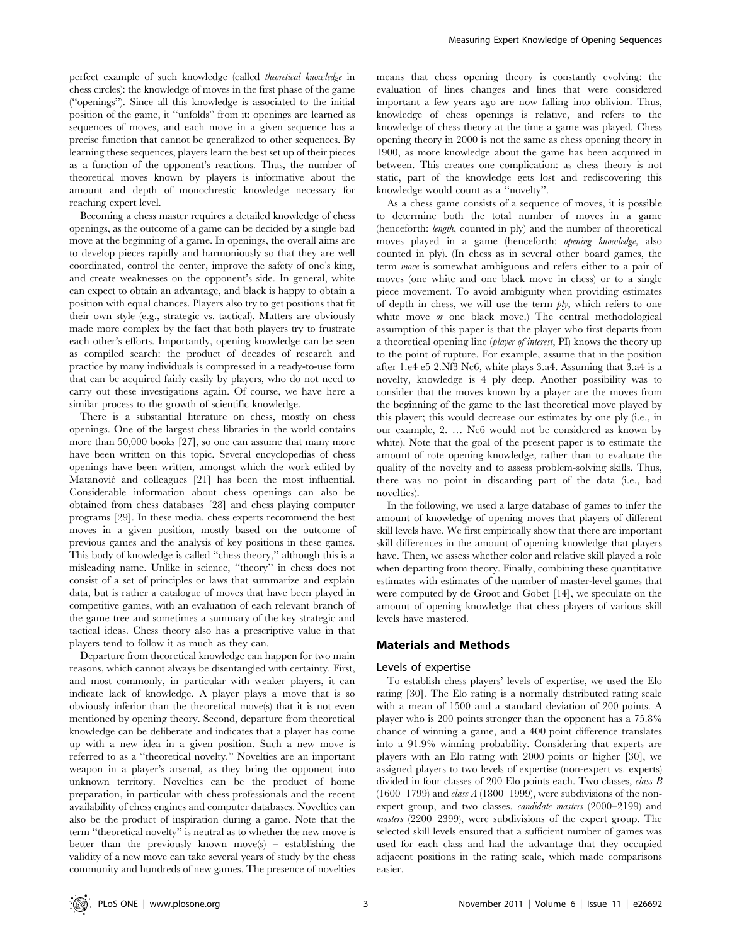perfect example of such knowledge (called theoretical knowledge in chess circles): the knowledge of moves in the first phase of the game (''openings''). Since all this knowledge is associated to the initial position of the game, it ''unfolds'' from it: openings are learned as sequences of moves, and each move in a given sequence has a precise function that cannot be generalized to other sequences. By learning these sequences, players learn the best set up of their pieces as a function of the opponent's reactions. Thus, the number of theoretical moves known by players is informative about the amount and depth of monochrestic knowledge necessary for reaching expert level.

Becoming a chess master requires a detailed knowledge of chess openings, as the outcome of a game can be decided by a single bad move at the beginning of a game. In openings, the overall aims are to develop pieces rapidly and harmoniously so that they are well coordinated, control the center, improve the safety of one's king, and create weaknesses on the opponent's side. In general, white can expect to obtain an advantage, and black is happy to obtain a position with equal chances. Players also try to get positions that fit their own style (e.g., strategic vs. tactical). Matters are obviously made more complex by the fact that both players try to frustrate each other's efforts. Importantly, opening knowledge can be seen as compiled search: the product of decades of research and practice by many individuals is compressed in a ready-to-use form that can be acquired fairly easily by players, who do not need to carry out these investigations again. Of course, we have here a similar process to the growth of scientific knowledge.

There is a substantial literature on chess, mostly on chess openings. One of the largest chess libraries in the world contains more than 50,000 books [27], so one can assume that many more have been written on this topic. Several encyclopedias of chess openings have been written, amongst which the work edited by Matanović and colleagues [21] has been the most influential. Considerable information about chess openings can also be obtained from chess databases [28] and chess playing computer programs [29]. In these media, chess experts recommend the best moves in a given position, mostly based on the outcome of previous games and the analysis of key positions in these games. This body of knowledge is called ''chess theory,'' although this is a misleading name. Unlike in science, ''theory'' in chess does not consist of a set of principles or laws that summarize and explain data, but is rather a catalogue of moves that have been played in competitive games, with an evaluation of each relevant branch of the game tree and sometimes a summary of the key strategic and tactical ideas. Chess theory also has a prescriptive value in that players tend to follow it as much as they can.

Departure from theoretical knowledge can happen for two main reasons, which cannot always be disentangled with certainty. First, and most commonly, in particular with weaker players, it can indicate lack of knowledge. A player plays a move that is so obviously inferior than the theoretical move(s) that it is not even mentioned by opening theory. Second, departure from theoretical knowledge can be deliberate and indicates that a player has come up with a new idea in a given position. Such a new move is referred to as a ''theoretical novelty.'' Novelties are an important weapon in a player's arsenal, as they bring the opponent into unknown territory. Novelties can be the product of home preparation, in particular with chess professionals and the recent availability of chess engines and computer databases. Novelties can also be the product of inspiration during a game. Note that the term ''theoretical novelty'' is neutral as to whether the new move is better than the previously known move(s) – establishing the validity of a new move can take several years of study by the chess community and hundreds of new games. The presence of novelties

means that chess opening theory is constantly evolving: the evaluation of lines changes and lines that were considered important a few years ago are now falling into oblivion. Thus, knowledge of chess openings is relative, and refers to the knowledge of chess theory at the time a game was played. Chess opening theory in 2000 is not the same as chess opening theory in 1900, as more knowledge about the game has been acquired in between. This creates one complication: as chess theory is not static, part of the knowledge gets lost and rediscovering this knowledge would count as a ''novelty''.

As a chess game consists of a sequence of moves, it is possible to determine both the total number of moves in a game (henceforth: length, counted in ply) and the number of theoretical moves played in a game (henceforth: opening knowledge, also counted in ply). (In chess as in several other board games, the term move is somewhat ambiguous and refers either to a pair of moves (one white and one black move in chess) or to a single piece movement. To avoid ambiguity when providing estimates of depth in chess, we will use the term  $\not{ply}$ , which refers to one white move *or* one black move.) The central methodological assumption of this paper is that the player who first departs from a theoretical opening line (player of interest, PI) knows the theory up to the point of rupture. For example, assume that in the position after 1.e4 e5 2.Nf3 Nc6, white plays 3.a4. Assuming that 3.a4 is a novelty, knowledge is 4 ply deep. Another possibility was to consider that the moves known by a player are the moves from the beginning of the game to the last theoretical move played by this player; this would decrease our estimates by one ply (i.e., in our example, 2. … Nc6 would not be considered as known by white). Note that the goal of the present paper is to estimate the amount of rote opening knowledge, rather than to evaluate the quality of the novelty and to assess problem-solving skills. Thus, there was no point in discarding part of the data (i.e., bad novelties).

In the following, we used a large database of games to infer the amount of knowledge of opening moves that players of different skill levels have. We first empirically show that there are important skill differences in the amount of opening knowledge that players have. Then, we assess whether color and relative skill played a role when departing from theory. Finally, combining these quantitative estimates with estimates of the number of master-level games that were computed by de Groot and Gobet [14], we speculate on the amount of opening knowledge that chess players of various skill levels have mastered.

## Materials and Methods

#### Levels of expertise

To establish chess players' levels of expertise, we used the Elo rating [30]. The Elo rating is a normally distributed rating scale with a mean of 1500 and a standard deviation of 200 points. A player who is 200 points stronger than the opponent has a 75.8% chance of winning a game, and a 400 point difference translates into a 91.9% winning probability. Considering that experts are players with an Elo rating with 2000 points or higher [30], we assigned players to two levels of expertise (non-expert vs. experts) divided in four classes of 200 Elo points each. Two classes, class B (1600–1799) and  $class A$  (1800–1999), were subdivisions of the nonexpert group, and two classes, candidate masters (2000–2199) and masters (2200–2399), were subdivisions of the expert group. The selected skill levels ensured that a sufficient number of games was used for each class and had the advantage that they occupied adjacent positions in the rating scale, which made comparisons easier.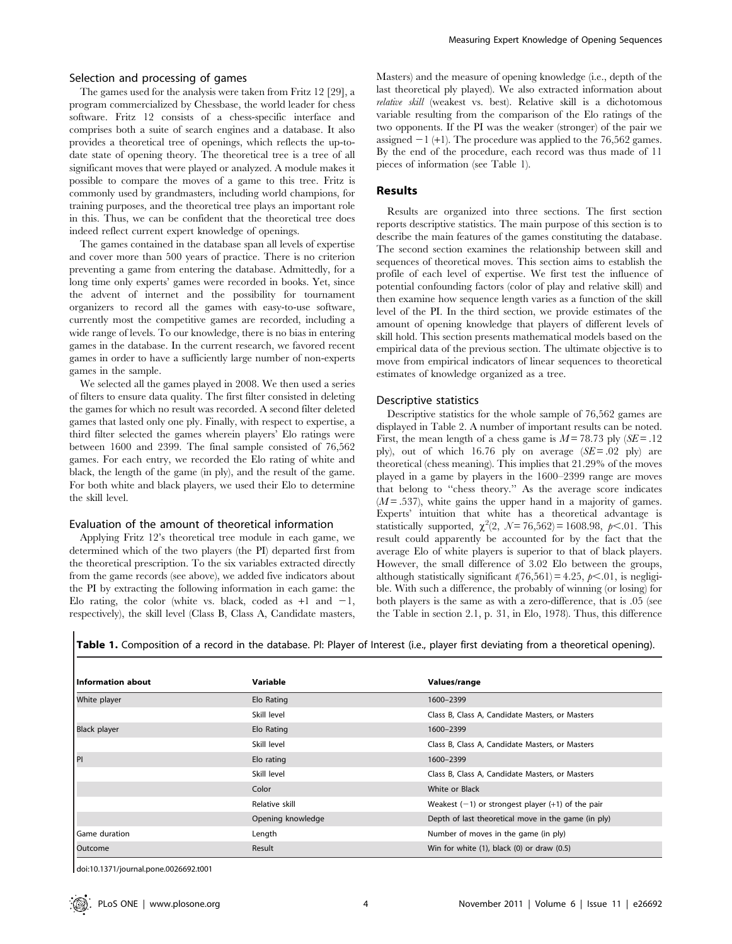## Selection and processing of games

The games used for the analysis were taken from Fritz 12 [29], a program commercialized by Chessbase, the world leader for chess software. Fritz 12 consists of a chess-specific interface and comprises both a suite of search engines and a database. It also provides a theoretical tree of openings, which reflects the up-todate state of opening theory. The theoretical tree is a tree of all significant moves that were played or analyzed. A module makes it possible to compare the moves of a game to this tree. Fritz is commonly used by grandmasters, including world champions, for training purposes, and the theoretical tree plays an important role in this. Thus, we can be confident that the theoretical tree does indeed reflect current expert knowledge of openings.

The games contained in the database span all levels of expertise and cover more than 500 years of practice. There is no criterion preventing a game from entering the database. Admittedly, for a long time only experts' games were recorded in books. Yet, since the advent of internet and the possibility for tournament organizers to record all the games with easy-to-use software, currently most the competitive games are recorded, including a wide range of levels. To our knowledge, there is no bias in entering games in the database. In the current research, we favored recent games in order to have a sufficiently large number of non-experts games in the sample.

We selected all the games played in 2008. We then used a series of filters to ensure data quality. The first filter consisted in deleting the games for which no result was recorded. A second filter deleted games that lasted only one ply. Finally, with respect to expertise, a third filter selected the games wherein players' Elo ratings were between 1600 and 2399. The final sample consisted of 76,562 games. For each entry, we recorded the Elo rating of white and black, the length of the game (in ply), and the result of the game. For both white and black players, we used their Elo to determine the skill level.

## Evaluation of the amount of theoretical information

Applying Fritz 12's theoretical tree module in each game, we determined which of the two players (the PI) departed first from the theoretical prescription. To the six variables extracted directly from the game records (see above), we added five indicators about the PI by extracting the following information in each game: the Elo rating, the color (white vs. black, coded as  $+1$  and  $-1$ , respectively), the skill level (Class B, Class A, Candidate masters,

Masters) and the measure of opening knowledge (i.e., depth of the last theoretical ply played). We also extracted information about relative skill (weakest vs. best). Relative skill is a dichotomous variable resulting from the comparison of the Elo ratings of the two opponents. If the PI was the weaker (stronger) of the pair we assigned  $-1$  (+1). The procedure was applied to the 76,562 games. By the end of the procedure, each record was thus made of 11 pieces of information (see Table 1).

## Results

Results are organized into three sections. The first section reports descriptive statistics. The main purpose of this section is to describe the main features of the games constituting the database. The second section examines the relationship between skill and sequences of theoretical moves. This section aims to establish the profile of each level of expertise. We first test the influence of potential confounding factors (color of play and relative skill) and then examine how sequence length varies as a function of the skill level of the PI. In the third section, we provide estimates of the amount of opening knowledge that players of different levels of skill hold. This section presents mathematical models based on the empirical data of the previous section. The ultimate objective is to move from empirical indicators of linear sequences to theoretical estimates of knowledge organized as a tree.

## Descriptive statistics

Descriptive statistics for the whole sample of 76,562 games are displayed in Table 2. A number of important results can be noted. First, the mean length of a chess game is  $M = 78.73$  ply ( $SE = .12$ ) ply), out of which 16.76 ply on average  $(SE=.02)$  ply) are theoretical (chess meaning). This implies that 21.29% of the moves played in a game by players in the 1600–2399 range are moves that belong to ''chess theory.'' As the average score indicates  $(M = .537)$ , white gains the upper hand in a majority of games. Experts' intuition that white has a theoretical advantage is statistically supported,  $\chi^2(2, \ N = 76,562) = 1608.98, \ p < .01$ . This result could apparently be accounted for by the fact that the average Elo of white players is superior to that of black players. However, the small difference of 3.02 Elo between the groups, although statistically significant  $t(76,561) = 4.25, p<.01$ , is negligible. With such a difference, the probably of winning (or losing) for both players is the same as with a zero-difference, that is .05 (see the Table in section 2.1, p. 31, in Elo, 1978). Thus, this difference

| Table 1. Composition of a record in the database. PI: Player of Interest (i.e., player first deviating from a theoretical opening). |  |  |  |
|-------------------------------------------------------------------------------------------------------------------------------------|--|--|--|
|-------------------------------------------------------------------------------------------------------------------------------------|--|--|--|

| Information about   | Variable          | Values/range                                          |
|---------------------|-------------------|-------------------------------------------------------|
| White player        | Elo Rating        | 1600-2399                                             |
|                     | Skill level       | Class B, Class A, Candidate Masters, or Masters       |
| <b>Black player</b> | Elo Rating        | 1600-2399                                             |
|                     | Skill level       | Class B, Class A, Candidate Masters, or Masters       |
| l PI                | Elo rating        | 1600-2399                                             |
|                     | Skill level       | Class B, Class A, Candidate Masters, or Masters       |
|                     | Color             | White or Black                                        |
|                     | Relative skill    | Weakest $(-1)$ or strongest player $(+1)$ of the pair |
|                     | Opening knowledge | Depth of last theoretical move in the game (in ply)   |
| Game duration       | Length            | Number of moves in the game (in ply)                  |
| Outcome             | Result            | Win for white $(1)$ , black $(0)$ or draw $(0.5)$     |

doi:10.1371/journal.pone.0026692.t001

 $\overline{\phantom{a}}$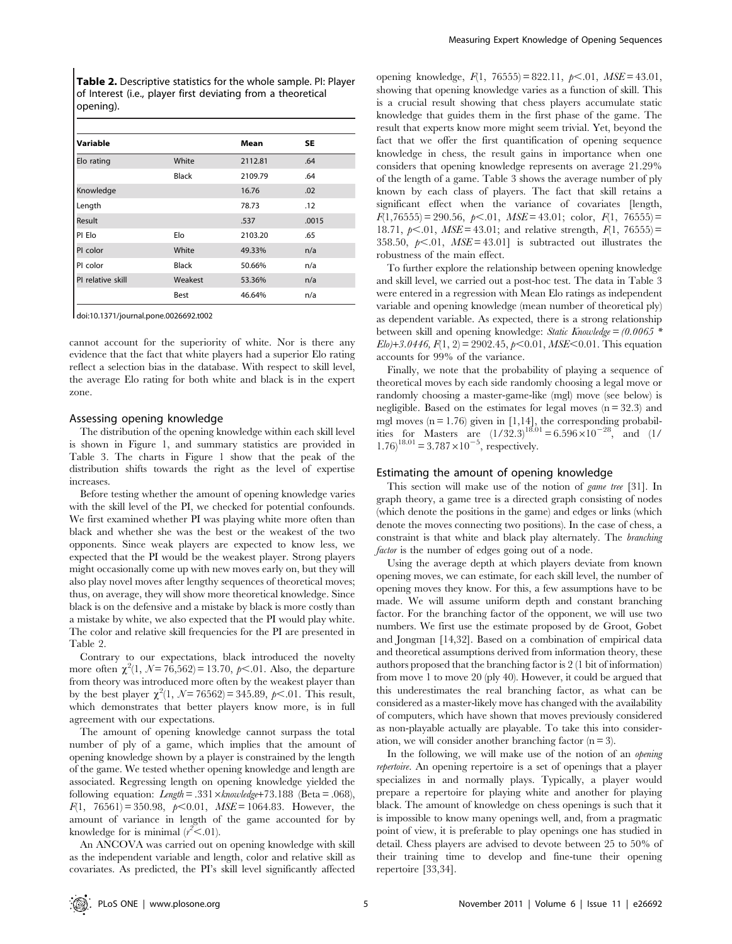Table 2. Descriptive statistics for the whole sample. PI: Player of Interest (i.e., player first deviating from a theoretical opening).

| Variable          |              | Mean    | <b>SE</b> |
|-------------------|--------------|---------|-----------|
| Elo rating        | White        | 2112.81 | .64       |
|                   | <b>Black</b> | 2109.79 | .64       |
| Knowledge         |              | 16.76   | .02       |
| Length            |              | 78.73   | .12       |
| Result            |              | .537    | .0015     |
| PI Elo            | Elo          | 2103.20 | .65       |
| PI color          | White        | 49.33%  | n/a       |
| PI color          | Black        | 50.66%  | n/a       |
| PI relative skill | Weakest      | 53.36%  | n/a       |
|                   | <b>Best</b>  | 46.64%  | n/a       |

doi:10.1371/journal.pone.0026692.t002

cannot account for the superiority of white. Nor is there any evidence that the fact that white players had a superior Elo rating reflect a selection bias in the database. With respect to skill level, the average Elo rating for both white and black is in the expert zone.

## Assessing opening knowledge

The distribution of the opening knowledge within each skill level is shown in Figure 1, and summary statistics are provided in Table 3. The charts in Figure 1 show that the peak of the distribution shifts towards the right as the level of expertise increases.

Before testing whether the amount of opening knowledge varies with the skill level of the PI, we checked for potential confounds. We first examined whether PI was playing white more often than black and whether she was the best or the weakest of the two opponents. Since weak players are expected to know less, we expected that the PI would be the weakest player. Strong players might occasionally come up with new moves early on, but they will also play novel moves after lengthy sequences of theoretical moves; thus, on average, they will show more theoretical knowledge. Since black is on the defensive and a mistake by black is more costly than a mistake by white, we also expected that the PI would play white. The color and relative skill frequencies for the PI are presented in Table 2.

Contrary to our expectations, black introduced the novelty more often  $\chi^2(1, \mathcal{N}=76,562) = 13.70, \, \rho \leq 0.01$ . Also, the departure from theory was introduced more often by the weakest player than by the best player  $\chi^2(1, \mathcal{N}=76562) = 345.89, \, \rho < .01$ . This result, which demonstrates that better players know more, is in full agreement with our expectations.

The amount of opening knowledge cannot surpass the total number of ply of a game, which implies that the amount of opening knowledge shown by a player is constrained by the length of the game. We tested whether opening knowledge and length are associated. Regressing length on opening knowledge yielded the following equation:  $Length = .331 \times knowledge + 73.188$  (Beta = .068),  $F(1, 76561) = 350.98, p < 0.01, MSE = 1064.83. However, the$ amount of variance in length of the game accounted for by knowledge for is minimal  $(r^2 < .01)$ .

An ANCOVA was carried out on opening knowledge with skill as the independent variable and length, color and relative skill as covariates. As predicted, the PI's skill level significantly affected opening knowledge,  $F(1, 76555) = 822.11, p<0.01, MSE = 43.01,$ showing that opening knowledge varies as a function of skill. This is a crucial result showing that chess players accumulate static knowledge that guides them in the first phase of the game. The result that experts know more might seem trivial. Yet, beyond the fact that we offer the first quantification of opening sequence knowledge in chess, the result gains in importance when one considers that opening knowledge represents on average 21.29% of the length of a game. Table 3 shows the average number of ply known by each class of players. The fact that skill retains a significant effect when the variance of covariates [length,  $F(1,76555) = 290.56, \ p < .01, \ MSE = 43.01; \ color, \ F(1, 76555) =$ 18.71,  $p<.01$ , MSE = 43.01; and relative strength, F(1, 76555) = 358.50,  $p<.01$ ,  $MSE = 43.01$  is subtracted out illustrates the robustness of the main effect.

To further explore the relationship between opening knowledge and skill level, we carried out a post-hoc test. The data in Table 3 were entered in a regression with Mean Elo ratings as independent variable and opening knowledge (mean number of theoretical ply) as dependent variable. As expected, there is a strong relationship between skill and opening knowledge: Static Knowledge =  $(0.0065$  \*  $E_0$ +3.0446,  $F(1, 2)$  = 2902.45,  $p$ <0.01, MSE<0.01. This equation accounts for 99% of the variance.

Finally, we note that the probability of playing a sequence of theoretical moves by each side randomly choosing a legal move or randomly choosing a master-game-like (mgl) move (see below) is negligible. Based on the estimates for legal moves  $(n = 32.3)$  and mgl moves ( $n = 1.76$ ) given in [1,14], the corresponding probabilities for Masters are  $(1/32.3)^{18.01} = 6.596 \times 10^{-28}$ , and  $(1/$  $1.76$ <sup>18.01</sup> = 3.787 $\times$ 10<sup>-5</sup>, respectively.

## Estimating the amount of opening knowledge

This section will make use of the notion of game tree [31]. In graph theory, a game tree is a directed graph consisting of nodes (which denote the positions in the game) and edges or links (which denote the moves connecting two positions). In the case of chess, a constraint is that white and black play alternately. The branching factor is the number of edges going out of a node.

Using the average depth at which players deviate from known opening moves, we can estimate, for each skill level, the number of opening moves they know. For this, a few assumptions have to be made. We will assume uniform depth and constant branching factor. For the branching factor of the opponent, we will use two numbers. We first use the estimate proposed by de Groot, Gobet and Jongman [14,32]. Based on a combination of empirical data and theoretical assumptions derived from information theory, these authors proposed that the branching factor is 2 (1 bit of information) from move 1 to move 20 (ply 40). However, it could be argued that this underestimates the real branching factor, as what can be considered as a master-likely move has changed with the availability of computers, which have shown that moves previously considered as non-playable actually are playable. To take this into consideration, we will consider another branching factor  $(n = 3)$ .

In the following, we will make use of the notion of an *opening* repertoire. An opening repertoire is a set of openings that a player specializes in and normally plays. Typically, a player would prepare a repertoire for playing white and another for playing black. The amount of knowledge on chess openings is such that it is impossible to know many openings well, and, from a pragmatic point of view, it is preferable to play openings one has studied in detail. Chess players are advised to devote between 25 to 50% of their training time to develop and fine-tune their opening repertoire [33,34].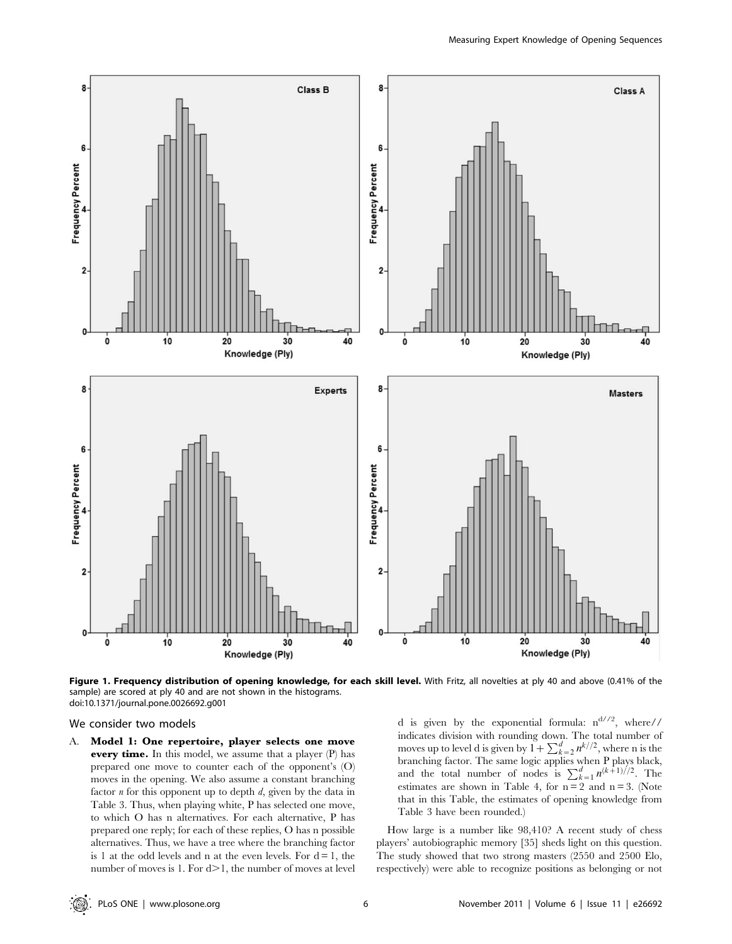

Figure 1. Frequency distribution of opening knowledge, for each skill level. With Fritz, all novelties at ply 40 and above (0.41% of the sample) are scored at ply 40 and are not shown in the histograms. doi:10.1371/journal.pone.0026692.g001

We consider two models

A. Model 1: One repertoire, player selects one move every time. In this model, we assume that a player (P) has prepared one move to counter each of the opponent's (O) moves in the opening. We also assume a constant branching factor  $n$  for this opponent up to depth  $d$ , given by the data in Table 3. Thus, when playing white, P has selected one move, to which O has n alternatives. For each alternative, P has prepared one reply; for each of these replies, O has n possible alternatives. Thus, we have a tree where the branching factor is 1 at the odd levels and n at the even levels. For  $d = 1$ , the number of moves is 1. For  $d > 1$ , the number of moves at level d is given by the exponential formula:  $n^{d//2}$ , where// indicates division with rounding down. The total number of moves up to level d is given by  $1+\sum_{k=2}^{d} n^{k/2}$ , where n is the branching factor. The same logic applies when P plays black, and the total number of nodes is  $\sum_{k=1}^{d} n^{(k+1)/2}$ . The estimates are shown in Table 4, for  $n = 2$  and  $n = 3$ . (Note that in this Table, the estimates of opening knowledge from Table 3 have been rounded.)

How large is a number like 98,410? A recent study of chess players' autobiographic memory [35] sheds light on this question. The study showed that two strong masters (2550 and 2500 Elo, respectively) were able to recognize positions as belonging or not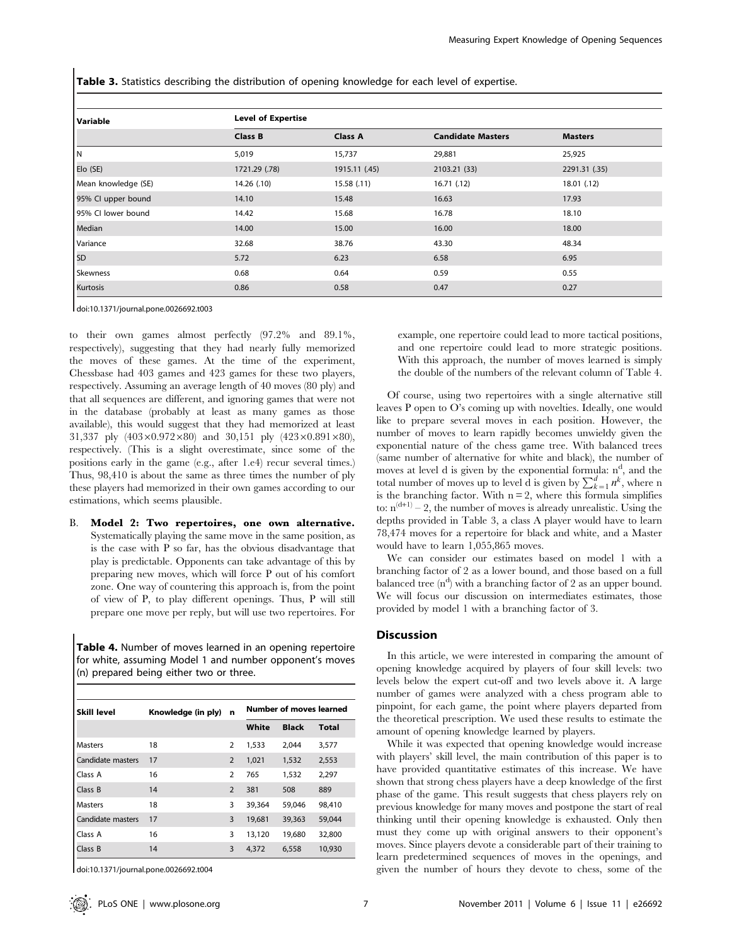Table 3. Statistics describing the distribution of opening knowledge for each level of expertise.

| Variable            | <b>Level of Expertise</b> |                |                          |                |
|---------------------|---------------------------|----------------|--------------------------|----------------|
|                     | <b>Class B</b>            | <b>Class A</b> | <b>Candidate Masters</b> | <b>Masters</b> |
| IΝ                  | 5,019                     | 15,737         | 29,881                   | 25,925         |
| Elo (SE)            | 1721.29 (.78)             | 1915.11 (.45)  | 2103.21 (33)             | 2291.31 (.35)  |
| Mean knowledge (SE) | 14.26 (.10)               | 15.58(0.11)    | 16.71(0.12)              | 18.01(0.12)    |
| 95% CI upper bound  | 14.10                     | 15.48          | 16.63                    | 17.93          |
| 95% CI lower bound  | 14.42                     | 15.68          | 16.78                    | 18.10          |
| Median              | 14.00                     | 15.00          | 16.00                    | 18.00          |
| Variance            | 32.68                     | 38.76          | 43.30                    | 48.34          |
| <b>SD</b>           | 5.72                      | 6.23           | 6.58                     | 6.95           |
| Skewness            | 0.68                      | 0.64           | 0.59                     | 0.55           |
| Kurtosis            | 0.86                      | 0.58           | 0.47                     | 0.27           |

doi:10.1371/journal.pone.0026692.t003

to their own games almost perfectly (97.2% and 89.1%, respectively), suggesting that they had nearly fully memorized the moves of these games. At the time of the experiment, Chessbase had 403 games and 423 games for these two players, respectively. Assuming an average length of 40 moves (80 ply) and that all sequences are different, and ignoring games that were not in the database (probably at least as many games as those available), this would suggest that they had memorized at least 31,337 ply  $(403 \times 0.972 \times 80)$  and 30,151 ply  $(423 \times 0.891 \times 80)$ , respectively. (This is a slight overestimate, since some of the positions early in the game (e.g., after 1.e4) recur several times.) Thus, 98,410 is about the same as three times the number of ply these players had memorized in their own games according to our estimations, which seems plausible.

B. Model 2: Two repertoires, one own alternative. Systematically playing the same move in the same position, as is the case with P so far, has the obvious disadvantage that play is predictable. Opponents can take advantage of this by preparing new moves, which will force P out of his comfort zone. One way of countering this approach is, from the point of view of P, to play different openings. Thus, P will still prepare one move per reply, but will use two repertoires. For

Table 4. Number of moves learned in an opening repertoire for white, assuming Model 1 and number opponent's moves (n) prepared being either two or three.

|                    |                    |                | <b>Number of moves learned</b> |              |        |
|--------------------|--------------------|----------------|--------------------------------|--------------|--------|
| <b>Skill level</b> | Knowledge (in ply) | n              |                                |              |        |
|                    |                    |                | White                          | <b>Black</b> | Total  |
| <b>Masters</b>     | 18                 | 2              | 1,533                          | 2,044        | 3,577  |
| Candidate masters  | 17                 | $\overline{2}$ | 1,021                          | 1,532        | 2,553  |
| Class A            | 16                 | $\overline{2}$ | 765                            | 1,532        | 2,297  |
| Class B            | 14                 | $\overline{2}$ | 381                            | 508          | 889    |
| <b>Masters</b>     | 18                 | 3              | 39,364                         | 59,046       | 98,410 |
| Candidate masters  | 17                 | 3              | 19,681                         | 39,363       | 59,044 |
| Class A            | 16                 | 3              | 13,120                         | 19,680       | 32,800 |
| Class B            | 14                 | 3              | 4.372                          | 6,558        | 10,930 |

doi:10.1371/journal.pone.0026692.t004

example, one repertoire could lead to more tactical positions, and one repertoire could lead to more strategic positions. With this approach, the number of moves learned is simply the double of the numbers of the relevant column of Table 4.

Of course, using two repertoires with a single alternative still leaves P open to O's coming up with novelties. Ideally, one would like to prepare several moves in each position. However, the number of moves to learn rapidly becomes unwieldy given the exponential nature of the chess game tree. With balanced trees (same number of alternative for white and black), the number of moves at level d is given by the exponential formula:  $n<sup>d</sup>$ , and the total number of moves up to level d is given by  $\sum_{k=1}^{d} n^k$ , where n is the branching factor. With  $n = 2$ , where this formula simplifies to:  $n^{(d+1)} - 2$ , the number of moves is already unrealistic. Using the depths provided in Table 3, a class A player would have to learn 78,474 moves for a repertoire for black and white, and a Master would have to learn 1,055,865 moves.

We can consider our estimates based on model 1 with a branching factor of 2 as a lower bound, and those based on a full balanced tree  $(n<sup>d</sup>)$  with a branching factor of 2 as an upper bound. We will focus our discussion on intermediates estimates, those provided by model 1 with a branching factor of 3.

## **Discussion**

In this article, we were interested in comparing the amount of opening knowledge acquired by players of four skill levels: two levels below the expert cut-off and two levels above it. A large number of games were analyzed with a chess program able to pinpoint, for each game, the point where players departed from the theoretical prescription. We used these results to estimate the amount of opening knowledge learned by players.

While it was expected that opening knowledge would increase with players' skill level, the main contribution of this paper is to have provided quantitative estimates of this increase. We have shown that strong chess players have a deep knowledge of the first phase of the game. This result suggests that chess players rely on previous knowledge for many moves and postpone the start of real thinking until their opening knowledge is exhausted. Only then must they come up with original answers to their opponent's moves. Since players devote a considerable part of their training to learn predetermined sequences of moves in the openings, and given the number of hours they devote to chess, some of the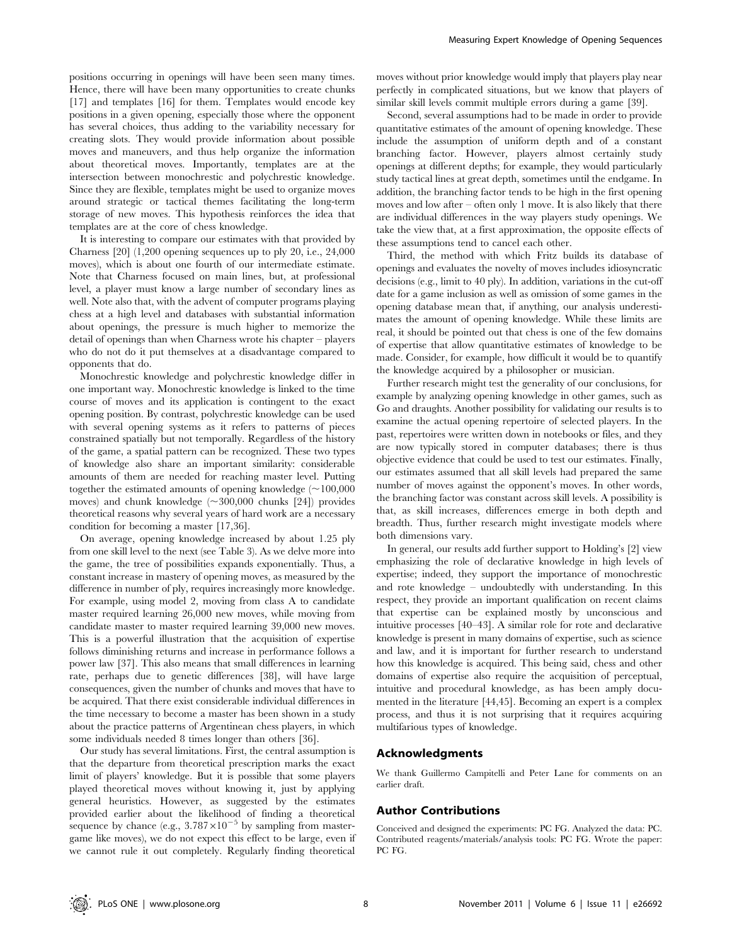positions occurring in openings will have been seen many times. Hence, there will have been many opportunities to create chunks [17] and templates [16] for them. Templates would encode key positions in a given opening, especially those where the opponent has several choices, thus adding to the variability necessary for creating slots. They would provide information about possible moves and maneuvers, and thus help organize the information about theoretical moves. Importantly, templates are at the intersection between monochrestic and polychrestic knowledge. Since they are flexible, templates might be used to organize moves around strategic or tactical themes facilitating the long-term storage of new moves. This hypothesis reinforces the idea that templates are at the core of chess knowledge.

It is interesting to compare our estimates with that provided by Charness [20] (1,200 opening sequences up to ply 20, i.e., 24,000 moves), which is about one fourth of our intermediate estimate. Note that Charness focused on main lines, but, at professional level, a player must know a large number of secondary lines as well. Note also that, with the advent of computer programs playing chess at a high level and databases with substantial information about openings, the pressure is much higher to memorize the detail of openings than when Charness wrote his chapter – players who do not do it put themselves at a disadvantage compared to opponents that do.

Monochrestic knowledge and polychrestic knowledge differ in one important way. Monochrestic knowledge is linked to the time course of moves and its application is contingent to the exact opening position. By contrast, polychrestic knowledge can be used with several opening systems as it refers to patterns of pieces constrained spatially but not temporally. Regardless of the history of the game, a spatial pattern can be recognized. These two types of knowledge also share an important similarity: considerable amounts of them are needed for reaching master level. Putting together the estimated amounts of opening knowledge  $(\sim 100,000$ moves) and chunk knowledge  $(\sim 300,000$  chunks [24]) provides theoretical reasons why several years of hard work are a necessary condition for becoming a master [17,36].

On average, opening knowledge increased by about 1.25 ply from one skill level to the next (see Table 3). As we delve more into the game, the tree of possibilities expands exponentially. Thus, a constant increase in mastery of opening moves, as measured by the difference in number of ply, requires increasingly more knowledge. For example, using model 2, moving from class A to candidate master required learning 26,000 new moves, while moving from candidate master to master required learning 39,000 new moves. This is a powerful illustration that the acquisition of expertise follows diminishing returns and increase in performance follows a power law [37]. This also means that small differences in learning rate, perhaps due to genetic differences [38], will have large consequences, given the number of chunks and moves that have to be acquired. That there exist considerable individual differences in the time necessary to become a master has been shown in a study about the practice patterns of Argentinean chess players, in which some individuals needed 8 times longer than others [36].

Our study has several limitations. First, the central assumption is that the departure from theoretical prescription marks the exact limit of players' knowledge. But it is possible that some players played theoretical moves without knowing it, just by applying general heuristics. However, as suggested by the estimates provided earlier about the likelihood of finding a theoretical sequence by chance (e.g.,  $3.787 \times 10^{-5}$  by sampling from mastergame like moves), we do not expect this effect to be large, even if we cannot rule it out completely. Regularly finding theoretical

moves without prior knowledge would imply that players play near perfectly in complicated situations, but we know that players of similar skill levels commit multiple errors during a game [39].

Second, several assumptions had to be made in order to provide quantitative estimates of the amount of opening knowledge. These include the assumption of uniform depth and of a constant branching factor. However, players almost certainly study openings at different depths; for example, they would particularly study tactical lines at great depth, sometimes until the endgame. In addition, the branching factor tends to be high in the first opening moves and low after – often only 1 move. It is also likely that there are individual differences in the way players study openings. We take the view that, at a first approximation, the opposite effects of these assumptions tend to cancel each other.

Third, the method with which Fritz builds its database of openings and evaluates the novelty of moves includes idiosyncratic decisions (e.g., limit to 40 ply). In addition, variations in the cut-off date for a game inclusion as well as omission of some games in the opening database mean that, if anything, our analysis underestimates the amount of opening knowledge. While these limits are real, it should be pointed out that chess is one of the few domains of expertise that allow quantitative estimates of knowledge to be made. Consider, for example, how difficult it would be to quantify the knowledge acquired by a philosopher or musician.

Further research might test the generality of our conclusions, for example by analyzing opening knowledge in other games, such as Go and draughts. Another possibility for validating our results is to examine the actual opening repertoire of selected players. In the past, repertoires were written down in notebooks or files, and they are now typically stored in computer databases; there is thus objective evidence that could be used to test our estimates. Finally, our estimates assumed that all skill levels had prepared the same number of moves against the opponent's moves. In other words, the branching factor was constant across skill levels. A possibility is that, as skill increases, differences emerge in both depth and breadth. Thus, further research might investigate models where both dimensions vary.

In general, our results add further support to Holding's [2] view emphasizing the role of declarative knowledge in high levels of expertise; indeed, they support the importance of monochrestic and rote knowledge – undoubtedly with understanding. In this respect, they provide an important qualification on recent claims that expertise can be explained mostly by unconscious and intuitive processes [40–43]. A similar role for rote and declarative knowledge is present in many domains of expertise, such as science and law, and it is important for further research to understand how this knowledge is acquired. This being said, chess and other domains of expertise also require the acquisition of perceptual, intuitive and procedural knowledge, as has been amply documented in the literature [44,45]. Becoming an expert is a complex process, and thus it is not surprising that it requires acquiring multifarious types of knowledge.

## Acknowledgments

We thank Guillermo Campitelli and Peter Lane for comments on an earlier draft.

## Author Contributions

Conceived and designed the experiments: PC FG. Analyzed the data: PC. Contributed reagents/materials/analysis tools: PC FG. Wrote the paper: PC FG.